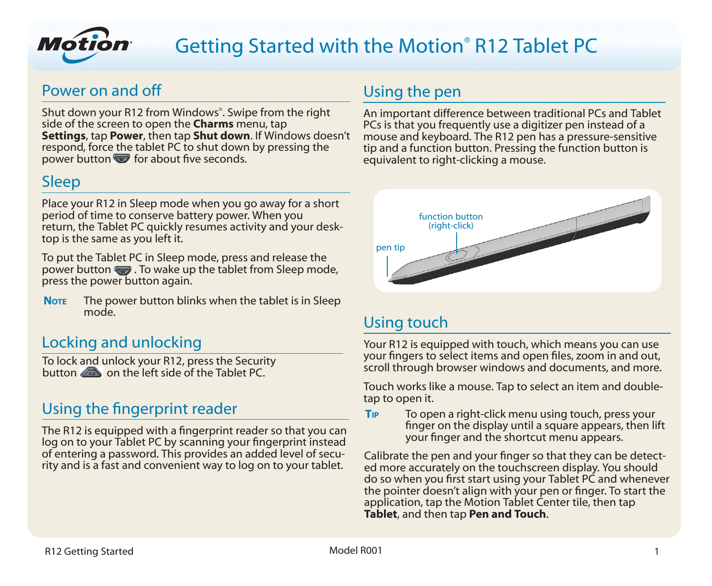

# Getting Started with the Motion® R12 Tablet PC

# Power on and off

Shut down your R12 from Windows® . Swipe from the right side of the screen to open the **Charms** menu, tap **Settings**, tap **Power**, then tap **Shut down**. If Windows doesn't respond, force the tablet PC to shut down by pressing the power button  $\blacktriangledown$  for about five seconds.

# Sleep

Place your R12 in Sleep mode when you go away for a short period of time to conserve battery power. When you return, the Tablet PC quickly resumes activity and your desktop is the same as you left it.

To put the Tablet PC in Sleep mode, press and release the power button  $\blacksquare$ . To wake up the tablet from Sleep mode, press the power button again.

**NOTE** The power button blinks when the tablet is in Sleep mode.

# Locking and unlocking

To lock and unlock your R12, press the Security button  $\sqrt{d}$  on the left side of the Tablet PC.

# Using the fingerprint reader

The R12 is equipped with a fingerprint reader so that you can log on to your Tablet PC by scanning your fingerprint instead of entering a password. This provides an added level of security and is a fast and convenient way to log on to your tablet.

# Using the pen

An important difference between traditional PCs and Tablet PCs is that you frequently use a digitizer pen instead of a mouse and keyboard. The R12 pen has a pressure-sensitive tip and a function button. Pressing the function button is equivalent to right-clicking a mouse.



# Using touch

Your R12 is equipped with touch, which means you can use your fingers to select items and open files, zoom in and out, scroll through browser windows and documents, and more.

Touch works like a mouse. Tap to select an item and doubletap to open it.

**Tip** To open a right-click menu using touch, press your finger on the display until a square appears, then lift your finger and the shortcut menu appears.

Calibrate the pen and your finger so that they can be detect- ed more accurately on the touchscreen display. You should do so when you first start using your Tablet PC and whenever the pointer doesn't align with your pen or finger. To start the application, tap the Motion Tablet Center tile, then tap **Tablet**, and then tap **Pen and Touch**.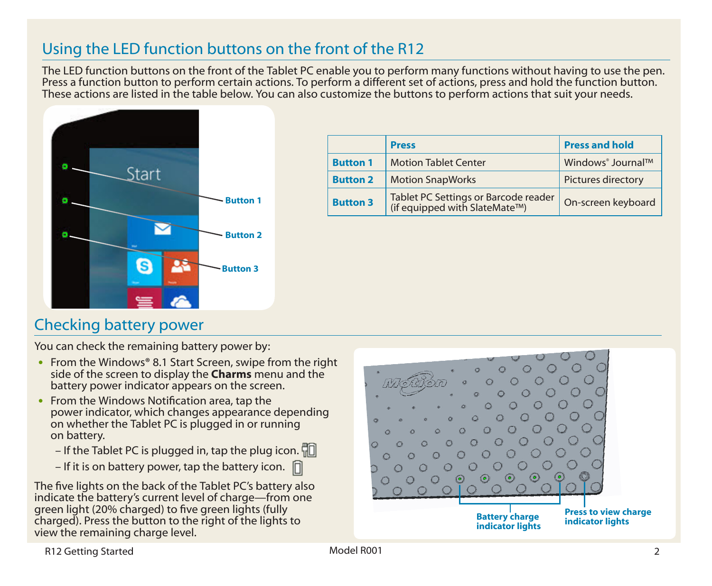# Using the LED function buttons on the front of the R12

The LED function buttons on the front of the Tablet PC enable you to perform many functions without having to use the pen. Press a function button to perform certain actions. To perform a different set of actions, press and hold the function button. These actions are listed in the table below. You can also customize the buttons to perform actions that suit your needs.



|                 | <b>Press</b>                                                          | <b>Press and hold</b>         |
|-----------------|-----------------------------------------------------------------------|-------------------------------|
| <b>Button 1</b> | <b>Motion Tablet Center</b>                                           | Windows <sup>®</sup> Journal™ |
| <b>Button 2</b> | <b>Motion SnapWorks</b>                                               | Pictures directory            |
| <b>Button 3</b> | Tablet PC Settings or Barcode reader<br>(if equipped with SlateMate™) | On-screen keyboard            |

# Checking battery power

You can check the remaining battery power by:

- •• From the Windows**®** 8.1 Start Screen, swipe from the right side of the screen to display the **Charms** menu and the battery power indicator appears on the screen.
- From the Windows Notification area, tap the power indicator, which changes appearance depending on whether the Tablet PC is plugged in or running on battery.
	- If the Tablet PC is plugged in, tap the plug icon.  $\Box$
	- If it is on battery power, tap the battery icon.  $\Box$

The five lights on the back of the Tablet PC's battery also indicate the battery's current level of charge—from one green light (20% charged) to five green lights (fully charged). Press the button to the right of the lights to view the remaining charge level.



R12 Getting Started 2001 2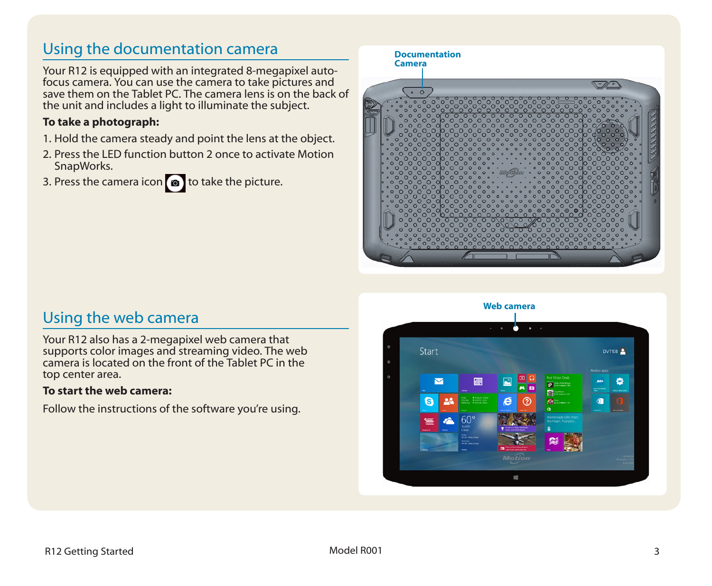# Using the documentation camera

Your R12 is equipped with an integrated 8-megapixel autofocus camera. You can use the camera to take pictures and save them on the Tablet PC. The camera lens is on the back of the unit and includes a light to illuminate the subject.

### **To take a photograph:**

- 1. Hold the camera steady and point the lens at the object.
- 2. Press the LED function button 2 once to activate Motion SnapWorks.
- 3. Press the camera icon  $\circled{a}$  to take the picture.

# **Documentation Camera**  $\circ$  0

# Using the web camera

Your R12 also has a 2-megapixel web camera that supports color images and streaming video. The web camera is located on the front of the Tablet PC in the top center area.

### **To start the web camera:**

Follow the instructions of the software you're using.

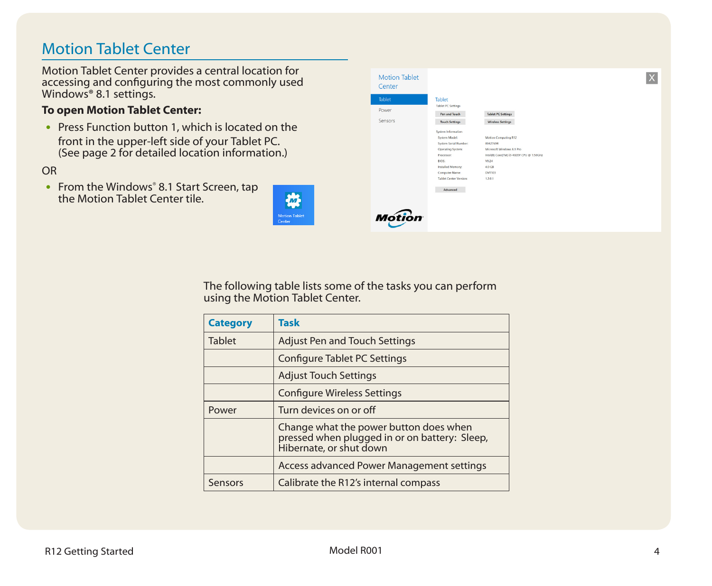# Motion Tablet Center

Motion Tablet Center provides a central location for accessing and configuring the most commonly used Windows**®** 8.1 settings.

### **To open Motion Tablet Center:**

• Press Function button 1, which is located on the front in the upper-left side of your Tablet PC. (See page 2 for detailed location information.)

### OR

• From the Windows® 8.1 Start Screen, tap the Motion Tablet Center tile.





The following table lists some of the tasks you can perform using the Motion Tablet Center.

| <b>Category</b> | Task                                                                                                               |  |
|-----------------|--------------------------------------------------------------------------------------------------------------------|--|
| <b>Tablet</b>   | <b>Adjust Pen and Touch Settings</b>                                                                               |  |
|                 | Configure Tablet PC Settings                                                                                       |  |
|                 | <b>Adjust Touch Settings</b>                                                                                       |  |
|                 | <b>Configure Wireless Settings</b>                                                                                 |  |
| Power           | Turn devices on or off                                                                                             |  |
|                 | Change what the power button does when<br>pressed when plugged in or on battery: Sleep,<br>Hibernate, or shut down |  |
|                 | Access advanced Power Management settings                                                                          |  |
| Sensors         | Calibrate the R12's internal compass                                                                               |  |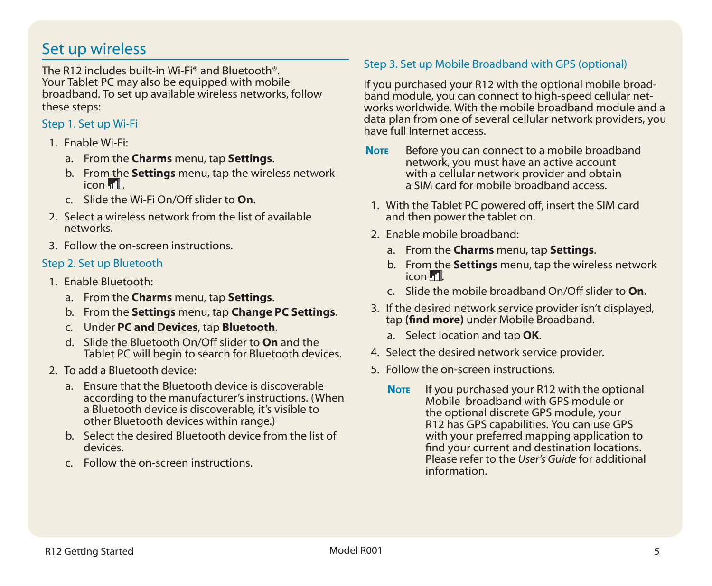# Set up wireless

The R12 includes built-in Wi-Fi**®** and Bluetooth**®**. Your Tablet PC may also be equipped with mobile broadband. To set up available wireless networks, follow these steps:

### Step 1. Set up Wi-Fi

- 1. Enable Wi-Fi:
	- a. From the **Charms** menu, tap **Settings**.
	- b. From the **Settings** menu, tap the wireless network  $i$ con  $\mathbb{III}$ .
	- c. Slide the Wi-Fi On/Off slider to **On**.
- 2. Select a wireless network from the list of available networks.
- 3. Follow the on-screen instructions.

### Step 2. Set up Bluetooth

- 1. Enable Bluetooth:
	- a. From the **Charms** menu, tap **Settings**.
	- b. From the **Settings** menu, tap **Change PC Settings**.
	- c. Under **PC and Devices**, tap **Bluetooth**.
	- d. Slide the Bluetooth On/Off slider to **On** and the Tablet PC will begin to search for Bluetooth devices.
- 2. To add a Bluetooth device:
	- a. Ensure that the Bluetooth device is discoverable according to the manufacturer's instructions. (When a Bluetooth device is discoverable, it's visible to other Bluetooth devices within range.)
	- b. Select the desired Bluetooth device from the list of devices.
	- c. Follow the on-screen instructions.

### Step 3. Set up Mobile Broadband with GPS (optional)

If you purchased your R12 with the optional mobile broad- band module, you can connect to high-speed cellular net- works worldwide. With the mobile broadband module and a data plan from one of several cellular network providers, you have full Internet access.

- **Note** Before you can connect to a mobile broadband network, you must have an active account with a cellular network provider and obtain a SIM card for mobile broadband access.
- 1. With the Tablet PC powered off, insert the SIM card and then power the tablet on.
- 2. Enable mobile broadband:
	- a. From the **Charms** menu, tap **Settings**.
	- b. From the **Settings** menu, tap the wireless network icon ....
	- c. Slide the mobile broadband On/Off slider to **On**.
- 3. If the desired network service provider isn't displayed, tap **(find more)** under Mobile Broadband.
	- a. Select location and tap **OK**.
- 4. Select the desired network service provider.
- 5. Follow the on-screen instructions.
	- **Note** If you purchased your R12 with the optional<br>Mobile broadband with GPS module or the optional discrete GPS module, your<br>R12 has GPS capabilities. You can use GPS<br>with your preferred mapping application to find your current and destination locations. Please refer to the *User's Guide* for additional information.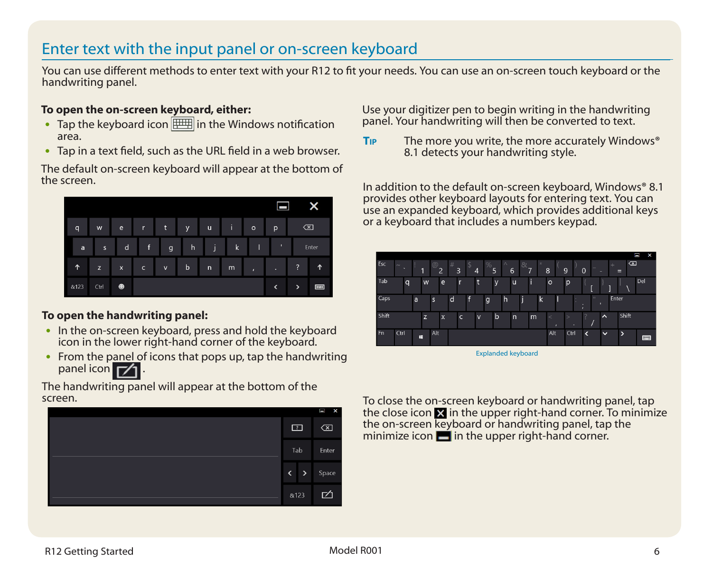# Enter text with the input panel or on-screen keyboard

You can use different methods to enter text with your R12 to fit your needs. You can use an on-screen touch keyboard or the handwriting panel.

### **To open the on-screen keyboard, either:**

- Tap the keyboard icon  $\boxed{\boxplus\text{+}}$  in the Windows notification area.
- Tap in a text field, such as the URL field in a web browser.

The default on-screen keyboard will appear at the bottom of the screen.



### **To open the handwriting panel:**

- In the on-screen keyboard, press and hold the keyboard icon in the lower right-hand corner of the keyboard.
- From the panel of icons that pops up, tap the handwriting panel icon **71**

The handwriting panel will appear at the bottom of the screen.



Use your digitizer pen to begin writing in the handwriting panel. Your handwriting will then be converted to text.

**Tip** The more you write, the more accurately Windows**®** 8.1 detects your handwriting style.

In addition to the default on-screen keyboard, Windows**®** 8.1 provides other keyboard layouts for entering text. You can use an expanded keyboard, which provides additional keys or a keyboard that includes a numbers keypad.



Explanded keyboard

To close the on-screen keyboard or handwriting panel, tap the close icon  $\mathbf{\Sigma}$  in the upper right-hand corner. To minimize the on-screen keyboard or handwriting panel, tap the minimize icon  $\blacksquare$  in the upper right-hand corner.